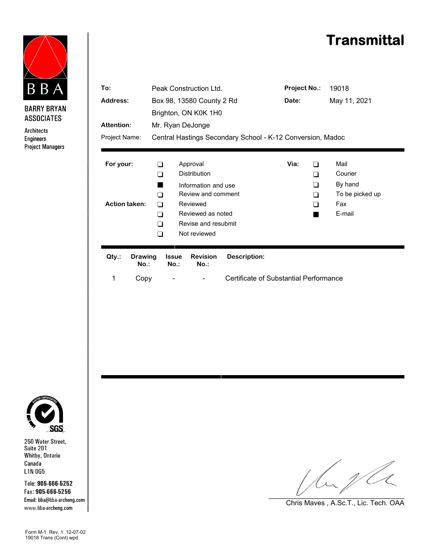



**BARRY BRYAN ASSOCIATES** 

Architects **Engineers Project Managers** 

| To:<br>Address:                   |                           | Peak Construction Ltd.<br>Box 98, 13580 County 2 Rd<br>Brighton, ON K0K 1H0                                                                                        |                         |                                            |                                        | <b>Project No.:</b><br>Date: |                                                                | 19018<br>May 11, 2021 |  |
|-----------------------------------|---------------------------|--------------------------------------------------------------------------------------------------------------------------------------------------------------------|-------------------------|--------------------------------------------|----------------------------------------|------------------------------|----------------------------------------------------------------|-----------------------|--|
| <b>Attention:</b>                 |                           | Mr. Ryan DeJonge                                                                                                                                                   |                         |                                            |                                        |                              |                                                                |                       |  |
| Project Name:                     |                           | Central Hastings Secondary School - K-12 Conversion, Madoc                                                                                                         |                         |                                            |                                        |                              |                                                                |                       |  |
| For your:<br><b>Action taken:</b> |                           | Approval<br>∩<br><b>Distribution</b><br>∩<br>Information and use<br>Review and comment<br>∩<br>Reviewed<br>∩<br>Reviewed as noted<br>∩<br>Revise and resubmit<br>∩ |                         |                                            | Via:                                   | ∩<br>- 1<br>- 1<br>∩         | Mail<br>Courier<br>By hand<br>To be picked up<br>Fax<br>E-mail |                       |  |
| Qty.:                             | <b>Drawing</b><br>$No.$ : | ∩                                                                                                                                                                  | <b>Issue</b><br>$No.$ : | Not reviewed<br><b>Revision</b><br>$No.$ : | <b>Description:</b>                    |                              |                                                                |                       |  |
| 1                                 | Copy                      |                                                                                                                                                                    |                         |                                            | Certificate of Substantial Performance |                              |                                                                |                       |  |



250 Water Street,<br>Suite 201 Whitby, Ontario Canada L1N 0G5

Tele: 905-666-5252 Fax: 905-666-5256 Email: bba@bba-archeng.com www.bba-archeng.com

Form M-1 Rev. 1 12-07-02 19018 Trans (Cont).wpd

La pla  $\cup$  . The set of the set of the set of the set of the set of the set of the set of the set of the set of the set of the set of the set of the set of the set of the set of the set of the set of the set of the set of the s

Chris Maves , A.Sc.T., Lic. Tech. OAA